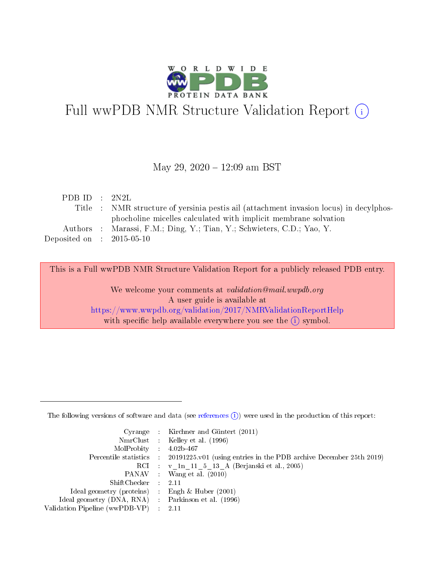

# Full wwPDB NMR Structure Validation Report (i)

## May 29, 2020 - 12:09 am BST

| Title : NMR structure of yersinia pestis ail (attachment invasion locus) in decylphos- |
|----------------------------------------------------------------------------------------|
|                                                                                        |
|                                                                                        |
|                                                                                        |
|                                                                                        |

This is a Full wwPDB NMR Structure Validation Report for a publicly released PDB entry.

We welcome your comments at *validation@mail.wwpdb.org* A user guide is available at <https://www.wwpdb.org/validation/2017/NMRValidationReportHelp> with specific help available everywhere you see the  $(i)$  symbol.

The following versions of software and data (see [references](https://www.wwpdb.org/validation/2017/NMRValidationReportHelp#references)  $(1)$ ) were used in the production of this report:

|                                                    | Cyrange : Kirchner and Güntert $(2011)$                                                    |
|----------------------------------------------------|--------------------------------------------------------------------------------------------|
|                                                    | NmrClust : Kelley et al. (1996)                                                            |
| $MolProbability$ 4.02b-467                         |                                                                                            |
|                                                    | Percentile statistics : 20191225.v01 (using entries in the PDB archive December 25th 2019) |
|                                                    | RCI : v 1n 11 5 13 A (Berjanski et al., 2005)                                              |
|                                                    | PANAV Wang et al. (2010)                                                                   |
| $ShiftChecker$ : 2.11                              |                                                                                            |
| Ideal geometry (proteins) : Engh $\&$ Huber (2001) |                                                                                            |
| Ideal geometry (DNA, RNA) Parkinson et al. (1996)  |                                                                                            |
| Validation Pipeline (wwPDB-VP)                     | 2.11                                                                                       |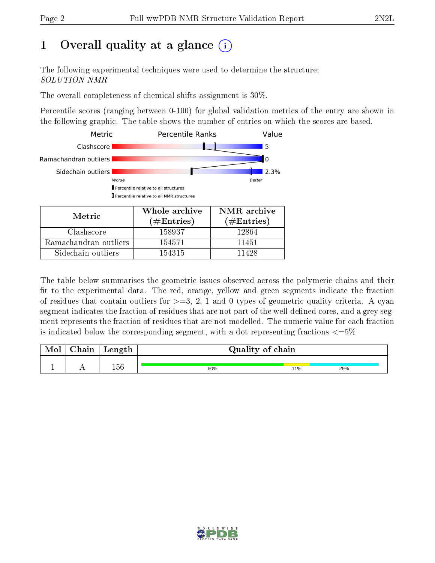# 1 [O](https://www.wwpdb.org/validation/2017/NMRValidationReportHelp#overall_quality)verall quality at a glance (i)

The following experimental techniques were used to determine the structure: SOLUTION NMR

The overall completeness of chemical shifts assignment is 30%.

Percentile scores (ranging between 0-100) for global validation metrics of the entry are shown in the following graphic. The table shows the number of entries on which the scores are based.



Sidechain outliers 154315 11428

The table below summarises the geometric issues observed across the polymeric chains and their fit to the experimental data. The red, orange, yellow and green segments indicate the fraction of residues that contain outliers for  $>=3, 2, 1$  and 0 types of geometric quality criteria. A cyan segment indicates the fraction of residues that are not part of the well-defined cores, and a grey segment represents the fraction of residues that are not modelled. The numeric value for each fraction is indicated below the corresponding segment, with a dot representing fractions  $\epsilon = 5\%$ 

| Chain | Length | Quality of chain |     |     |
|-------|--------|------------------|-----|-----|
|       | 156    | 60%              | 11% | 29% |

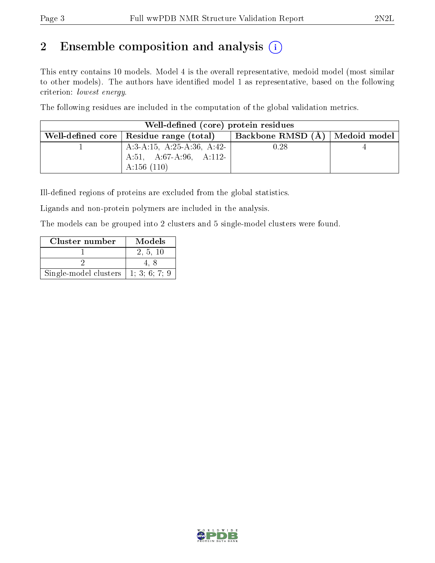# 2 Ensemble composition and analysis  $(i)$

This entry contains 10 models. Model 4 is the overall representative, medoid model (most similar to other models). The authors have identified model 1 as representative, based on the following criterion: lowest energy.

The following residues are included in the computation of the global validation metrics.

| Well-defined (core) protein residues      |                                    |  |  |  |  |  |  |  |  |  |  |  |
|-------------------------------------------|------------------------------------|--|--|--|--|--|--|--|--|--|--|--|
| Well-defined core   Residue range (total) | Backbone RMSD $(A)$   Medoid model |  |  |  |  |  |  |  |  |  |  |  |
| A:3-A:15, A:25-A:36, A:42-                | 0.28                               |  |  |  |  |  |  |  |  |  |  |  |
| A:51, A:67-A:96, A:112-                   |                                    |  |  |  |  |  |  |  |  |  |  |  |
| A:156 $(110)$                             |                                    |  |  |  |  |  |  |  |  |  |  |  |

Ill-defined regions of proteins are excluded from the global statistics.

Ligands and non-protein polymers are included in the analysis.

The models can be grouped into 2 clusters and 5 single-model clusters were found.

| Cluster number        | Models    |
|-----------------------|-----------|
|                       | 2, 5, 10  |
|                       |           |
| Single-model clusters | 1:3:6:7:9 |

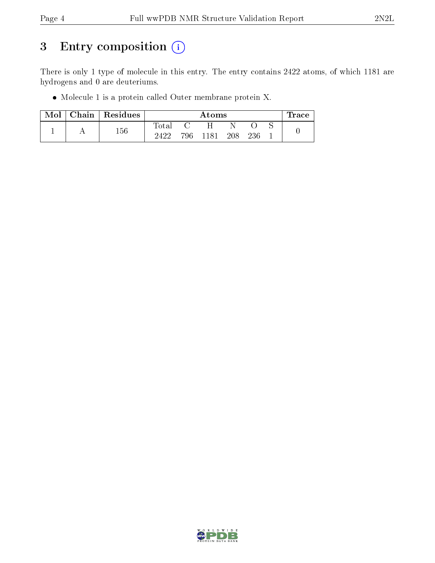# 3 Entry composition (i)

There is only 1 type of molecule in this entry. The entry contains 2422 atoms, of which 1181 are hydrogens and 0 are deuteriums.

Molecule 1 is a protein called Outer membrane protein X.

| Mol | Chain | $\mid$ Residues |             | Atoms |      |            |     |  |  |  |  |  |  |
|-----|-------|-----------------|-------------|-------|------|------------|-----|--|--|--|--|--|--|
|     |       |                 | $\rm Total$ |       | H    |            |     |  |  |  |  |  |  |
|     |       | 156             | 2422        | 796   | 1181 | <b>208</b> | 236 |  |  |  |  |  |  |

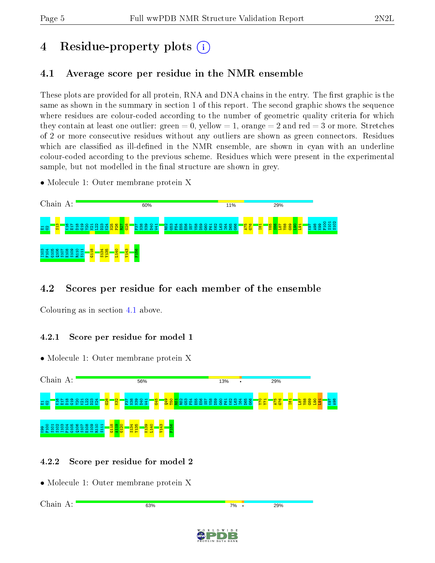# 4 Residue-property plots  $\binom{1}{1}$

## <span id="page-4-0"></span>4.1 Average score per residue in the NMR ensemble

These plots are provided for all protein, RNA and DNA chains in the entry. The first graphic is the same as shown in the summary in section 1 of this report. The second graphic shows the sequence where residues are colour-coded according to the number of geometric quality criteria for which they contain at least one outlier: green  $= 0$ , yellow  $= 1$ , orange  $= 2$  and red  $= 3$  or more. Stretches of 2 or more consecutive residues without any outliers are shown as green connectors. Residues which are classified as ill-defined in the NMR ensemble, are shown in cyan with an underline colour-coded according to the previous scheme. Residues which were present in the experimental sample, but not modelled in the final structure are shown in grey.

• Molecule 1: Outer membrane protein X



## 4.2 Scores per residue for each member of the ensemble

Colouring as in section [4.1](#page-4-0) above.

## 4.2.1 Score per residue for model 1

• Molecule 1: Outer membrane protein X



## 4.2.2 Score per residue for model 2

• Molecule 1: Outer membrane protein X

Chain A:63% 29% 7%

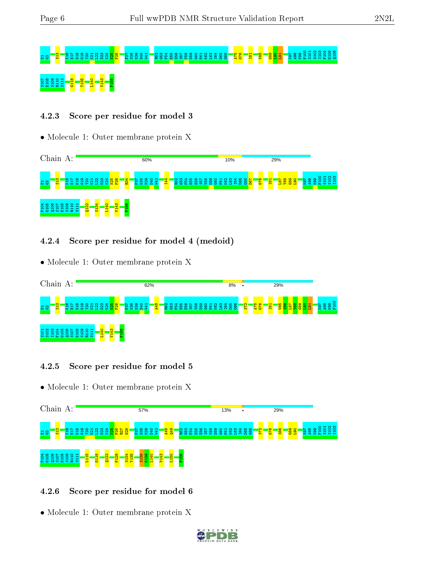# E1G2S13 K16 E17 D18 G19 Y20 K21 L22 D23 K24 N25 P26 F37 N38 N39 D40 W41 R52 G53 F54 E55 E56 S57 V58 D59 G60 F61 K62 L63 I64 D65 G66 A75 G76 I81 V85 G89 L90 L91 K97 A98 K99 F100 S101 S102 I103 F104 G105 Q106 S 8 8 8 3 1 <mark>- 8 - 8 - 8 - 8 - 8</mark><br>5 8 8 8 3 1 - 8 - 8 - 8 - 8 - 8

## 4.2.3 Score per residue for model 3

• Molecule 1: Outer membrane protein X



## 4.2.4 Score per residue for model 4 (medoid)

• Molecule 1: Outer membrane protein X



## 4.2.5 Score per residue for model 5

• Molecule 1: Outer membrane protein X



## 4.2.6 Score per residue for model 6

• Molecule 1: Outer membrane protein X

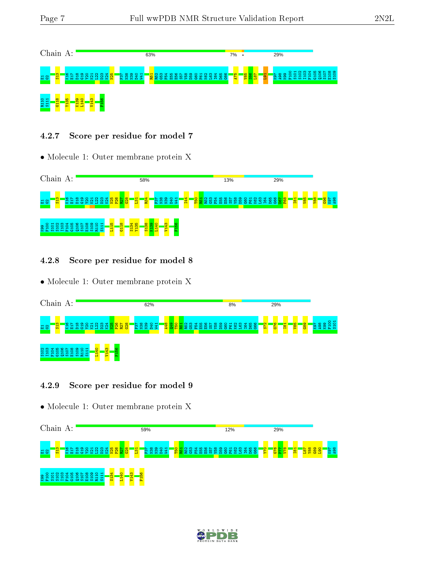

#### 4.2.7 Score per residue for model 7

• Molecule 1: Outer membrane protein X



#### 4.2.8 Score per residue for model 8

• Molecule 1: Outer membrane protein X

| Chain                        |   |        |                 | A: |                          |            |                |   |                |        |  |                                          |  | 62% |             |  |                                            |   |          |   |  |              | 8% |  |  |               | 29%          |                           |            |                  |                      |              |            |
|------------------------------|---|--------|-----------------|----|--------------------------|------------|----------------|---|----------------|--------|--|------------------------------------------|--|-----|-------------|--|--------------------------------------------|---|----------|---|--|--------------|----|--|--|---------------|--------------|---------------------------|------------|------------------|----------------------|--------------|------------|
| 료 8                          |   | က<br>뮮 |                 |    | $\infty$ $\sim$ $\infty$ | ၜ<br>보호복육  | 87<br>s        | ⊵ |                |        |  | រ៉ុ ដូ ដូ ដូ <mark>ដូ ដូ ដូ ដូ</mark> ដូ |  |     | E B B B H H |  | <mark>ម្មី ខ្ទី ខ្ពី ខ្ល</mark> ី ខ្លី ខ្ល | 畠 | ് ഹ<br>恐 | В |  | 858888888888 |    |  |  | $\frac{1}{3}$ | $\circ$<br>ढ | <b>T</b><br>$\frac{1}{2}$ | <u>aan</u> | <mark>esp</mark> | $\sim$ $\infty$<br>ø | ာ<br>Q,<br>2 | 85<br>12 S |
| ് ന<br>੩<br><b>WHAOCWAMA</b> | ₩ | ıο     | $\omega$ $\sim$ | ₽  | $\infty$<br>െ<br>₽       | <b>TO-</b> | ⊣<br>- 11<br>⊣ |   | $\frac{40}{2}$ | ₩<br>┳ |  |                                          |  |     |             |  |                                            |   |          |   |  |              |    |  |  |               |              |                           |            |                  |                      |              |            |

#### 4.2.9 Score per residue for model 9

• Molecule 1: Outer membrane protein X



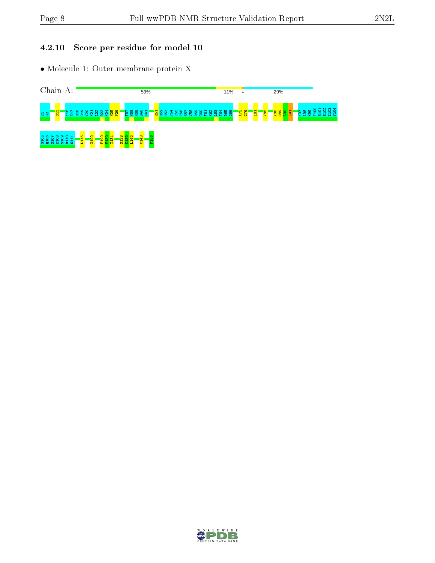## 4.2.10 Score per residue for model 10

• Molecule 1: Outer membrane protein X



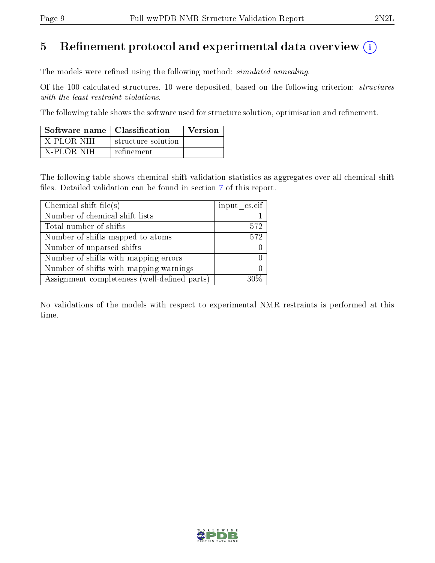# 5 Refinement protocol and experimental data overview  $\binom{1}{k}$

The models were refined using the following method: *simulated annealing*.

Of the 100 calculated structures, 10 were deposited, based on the following criterion: structures with the least restraint violations.

The following table shows the software used for structure solution, optimisation and refinement.

| Software name   Classification |                    | Version |
|--------------------------------|--------------------|---------|
| - X-PLOR NIH                   | structure solution |         |
| - X-PLOR-NIH                   | refinement         |         |

The following table shows chemical shift validation statistics as aggregates over all chemical shift files. Detailed validation can be found in section [7](#page-13-0) of this report.

| Chemical shift file(s)                       | input cs.cif |
|----------------------------------------------|--------------|
| Number of chemical shift lists               |              |
| Total number of shifts                       | 572          |
| Number of shifts mapped to atoms             | 572          |
| Number of unparsed shifts                    |              |
| Number of shifts with mapping errors         |              |
| Number of shifts with mapping warnings       |              |
| Assignment completeness (well-defined parts) |              |

No validations of the models with respect to experimental NMR restraints is performed at this time.

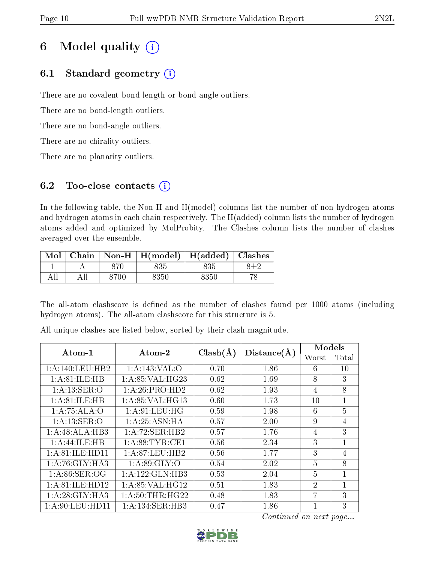# 6 Model quality  $(i)$

## 6.1 Standard geometry  $(i)$

There are no covalent bond-length or bond-angle outliers.

There are no bond-length outliers.

There are no bond-angle outliers.

There are no chirality outliers.

There are no planarity outliers.

## 6.2 Too-close contacts  $(i)$

In the following table, the Non-H and H(model) columns list the number of non-hydrogen atoms and hydrogen atoms in each chain respectively. The H(added) column lists the number of hydrogen atoms added and optimized by MolProbity. The Clashes column lists the number of clashes averaged over the ensemble.

| $\text{Mol}$ |      | Chain   Non-H   $H(model)$   $H(added)$   Clashes |      |  |
|--------------|------|---------------------------------------------------|------|--|
|              |      |                                                   | 835  |  |
|              | 8700 | 8350                                              | 8350 |  |

The all-atom clashscore is defined as the number of clashes found per 1000 atoms (including hydrogen atoms). The all-atom clashscore for this structure is 5.

| Atom-1             | $\boldsymbol{\mathrm{Atom}\text{-}2}$ | $Clash(\AA)$ | Distance(A) | Models         |                |
|--------------------|---------------------------------------|--------------|-------------|----------------|----------------|
|                    |                                       |              |             | Worst          | Total          |
| 1: A:140:LEU:HB2   | 1:A:143:VAL:O                         | 0.70         | 1.86        | 6              | 10             |
| 1: A:81: ILE: HB   | 1: A:85: VAL:HG23                     | 0.62         | 1.69        | 8              | 3              |
| 1: A: 13: SER: O   | 1:A:26:PRO:HD2                        | 0.62         | 1.93        | $\overline{4}$ | 8              |
| 1: A:81: ILE: HB   | 1:A:85:VAL:HG13                       | 0.60         | 1.73        | 10             | $\mathbf{1}$   |
| 1:A:75:ALA:O       | 1: A:91: LEU: HG                      | 0.59         | 1.98        | 6              | 5              |
| 1: A: 13: SER: O   | 1: A:25: ASN:HA                       | 0.57         | 2.00        | 9              | $\overline{4}$ |
| 1:A:48:ALA:HB3     | 1: A:72: SER:HB2                      | 0.57         | 1.76        | 4              | 3              |
| 1:A:44:ILE:HB      | 1: A:88: TYR: CE1                     | 0.56         | 2.34        | 3              | $\mathbf{1}$   |
| 1: A:81: ILE:HD11  | 1: A:87:LEU:HB2                       | 0.56         | 1.77        | 3              | $\overline{4}$ |
| 1: A:76: GLY:HA3   | 1: A:89: GLY:O                        | 0.54         | 2.02        | $\overline{5}$ | 8              |
| 1: A:86: SER:OG    | 1:A:122:GLN:HB3                       | 0.53         | 2.04        | $\overline{5}$ | $\mathbf{1}$   |
| 1: A:81: ILE: HD12 | 1:A:85:VAL:HG12                       | 0.51         | 1.83        | $\overline{2}$ | $\mathbf{1}$   |
| 1:A:28:GLY:HA3     | 1: A:50:THR:HG22                      | 0.48         | 1.83        | 7              | 3              |
| 1: A:90: LEU: HD11 | 1:A:134:SER:HB3                       | 0.47         | 1.86        |                | 3              |

All unique clashes are listed below, sorted by their clash magnitude.

Continued on next page...

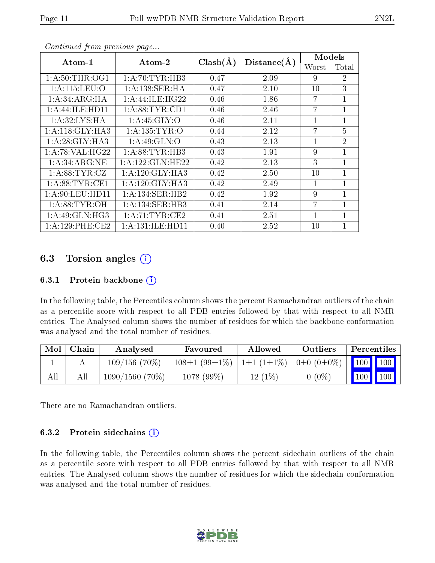| Atom-1              | Atom-2             | $Clash(\AA)$ |             | Models         |                |
|---------------------|--------------------|--------------|-------------|----------------|----------------|
|                     |                    |              | Distance(A) | Worst          | Total          |
| 1: A:50:THR:OG1     | 1: A:70:TYR:HB3    | 0.47         | 2.09        | 9              | $\overline{2}$ |
| 1: A: 115: LEU: O   | 1:A:138:SER:HA     | 0.47         | 2.10        | 10             | 3              |
| 1:A:34:ARG:HA       | 1: A:44: ILE: HG22 | 0.46         | 1.86        | $\overline{7}$ | $\mathbf{1}$   |
| 1: A: 44: ILE: HD11 | 1: A:88: TYR: CD1  | 0.46         | 2.46        | $\overline{7}$ | 1              |
| 1: A:32: LYS: HA    | 1: A:45: GLY:O     | 0.46         | 2.11        | $\mathbf{1}$   | 1              |
| 1:A:118:GLY:HA3     | 1: A: 135: TYR: O  | 0.44         | 2.12        | $\overline{7}$ | 5              |
| 1: A:28: GLY:HA3    | 1:A:49:GLN:O       | 0.43         | 2.13        | $\mathbf{1}$   | $\overline{2}$ |
| 1: A:78: VAL:HG22   | 1: A:88:TYR:HB3    | 0.43         | 1.91        | 9              | $\mathbf{1}$   |
| 1: A:34: ARG:NE     | 1:A:122:GLN:HE22   | 0.42         | 2.13        | 3              | 1              |
| 1: A:88: TYR: CZ    | 1: A:120: GLY: HA3 | 0.42         | 2.50        | 10             | $\mathbf{1}$   |
| 1: A:88: TYR: CE1   | 1: A:120: GLY: HA3 | 0.42         | 2.49        | $\mathbf{1}$   | 1              |
| 1:A:90:LEU:HD11     | 1:A:134:SER:HB2    | 0.42         | 1.92        | 9              | $\mathbf 1$    |
| 1: A:88: TYR:OH     | 1:A:134:SER:HB3    | 0.41         | 2.14        | $\overline{7}$ | $\mathbf{1}$   |
| 1:A:49:GLN:HG3      | 1: A:71:TYR:CE2    | 0.41         | 2.51        | 1              | 1              |
| 1: A:129: PHE:CE2   | 1:A:131:ILE:HD11   | 0.40         | 2.52        | 10             | 1              |

Continued from previous page...

## 6.3 Torsion angles  $(i)$

#### 6.3.1 Protein backbone  $(i)$

In the following table, the Percentiles column shows the percent Ramachandran outliers of the chain as a percentile score with respect to all PDB entries followed by that with respect to all NMR entries. The Analysed column shows the number of residues for which the backbone conformation was analysed and the total number of residues.

| Mol | Chain | Analysed          | Favoured            | Allowed          | Outliers                | Percentiles                                                              |  |
|-----|-------|-------------------|---------------------|------------------|-------------------------|--------------------------------------------------------------------------|--|
|     |       | $109/156(70\%)$   | $108\pm1(99\pm1\%)$ | $1\pm1(1\pm1\%)$ | $0 \pm 0$ $(0 \pm 0\%)$ | $\begin{array}{ c c c c }\n\hline\n\text{100} & \text{100}\n\end{array}$ |  |
| All |       | $1090/1560$ (70%) | $1078(99\%)$        | $12(1\%)$        | $0(0\%)$                | $100$   100                                                              |  |

There are no Ramachandran outliers.

#### 6.3.2 Protein sidechains  $(i)$

In the following table, the Percentiles column shows the percent sidechain outliers of the chain as a percentile score with respect to all PDB entries followed by that with respect to all NMR entries. The Analysed column shows the number of residues for which the sidechain conformation was analysed and the total number of residues.

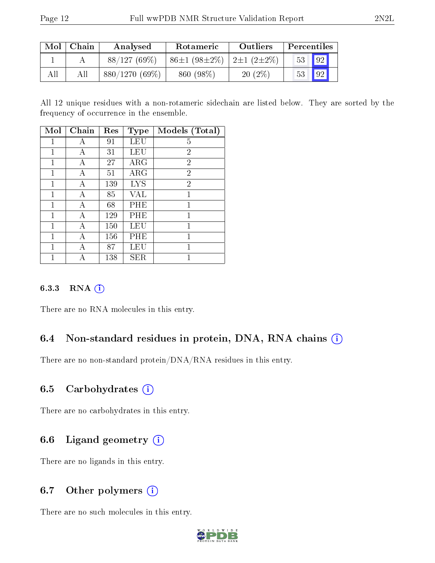| Mol | Chain | Analysed<br>Rotameric |                                                  | Outliers  | Percentiles |    |
|-----|-------|-----------------------|--------------------------------------------------|-----------|-------------|----|
|     |       | $88/127(69\%)$        | $86\pm1$ (98 $\pm2\%$ )   2 $\pm1$ (2 $\pm2\%$ ) |           | 53          | 92 |
| All | All   | $880/1270(69\%)$      | 860 (98\%)                                       | $20(2\%)$ | 53          | 92 |

All 12 unique residues with a non-rotameric sidechain are listed below. They are sorted by the frequency of occurrence in the ensemble.

| Mol          | Chain | Res | Type       | Models (Total) |
|--------------|-------|-----|------------|----------------|
| 1            | А     | 91  | LEU        | 5              |
| 1            | А     | 31  | LEU        | $\overline{2}$ |
| 1            | А     | 27  | ARG        | $\overline{2}$ |
| 1            | А     | 51  | ARG        | 2              |
| 1            | А     | 139 | <b>LYS</b> | $\overline{2}$ |
| 1            | А     | 85  | VAL        | 1              |
| 1            | А     | 68  | PHE        | 1              |
| 1            | А     | 129 | PHE        | 1              |
| $\mathbf{1}$ | А     | 150 | LEU        | 1              |
| 1            | А     | 156 | PHE        | 1              |
| 1            | А     | 87  | LEU        | 1              |
|              |       | 138 | SER        |                |

#### 6.3.3 RNA [O](https://www.wwpdb.org/validation/2017/NMRValidationReportHelp#rna)i

There are no RNA molecules in this entry.

## 6.4 Non-standard residues in protein, DNA, RNA chains (i)

There are no non-standard protein/DNA/RNA residues in this entry.

## 6.5 Carbohydrates  $(i)$

There are no carbohydrates in this entry.

## 6.6 Ligand geometry  $(i)$

There are no ligands in this entry.

## 6.7 [O](https://www.wwpdb.org/validation/2017/NMRValidationReportHelp#nonstandard_residues_and_ligands)ther polymers (i)

There are no such molecules in this entry.

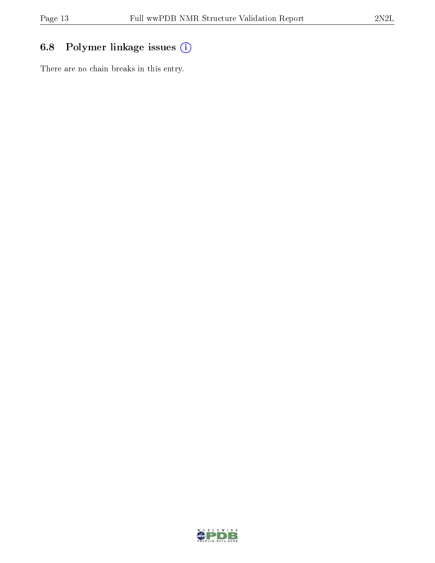## 6.8 Polymer linkage issues (i)

There are no chain breaks in this entry.

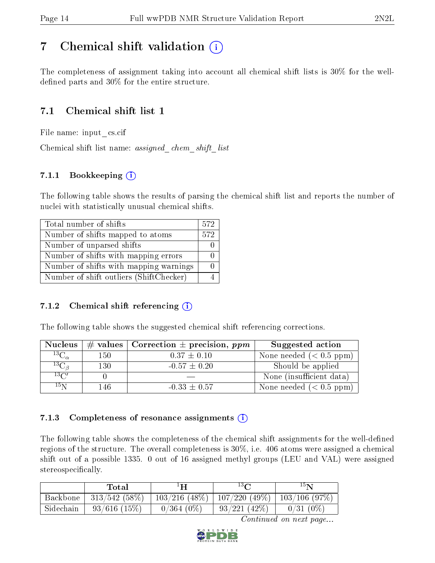## <span id="page-13-0"></span>7 Chemical shift validation  $\left( \begin{array}{c} \overline{1} \end{array} \right)$

The completeness of assignment taking into account all chemical shift lists is 30% for the welldefined parts and  $30\%$  for the entire structure.

## 7.1 Chemical shift list 1

File name: input\_cs.cif

Chemical shift list name: assigned\_chem\_shift\_list

## 7.1.1 Bookkeeping (i)

The following table shows the results of parsing the chemical shift list and reports the number of nuclei with statistically unusual chemical shifts.

| Total number of shifts                  | 572 |
|-----------------------------------------|-----|
| Number of shifts mapped to atoms        | 572 |
| Number of unparsed shifts               |     |
| Number of shifts with mapping errors    |     |
| Number of shifts with mapping warnings  |     |
| Number of shift outliers (ShiftChecker) |     |

## 7.1.2 Chemical shift referencing  $(i)$

The following table shows the suggested chemical shift referencing corrections.

| <b>Nucleus</b>                        |     | # values   Correction $\pm$ precision, ppm | Suggested action         |
|---------------------------------------|-----|--------------------------------------------|--------------------------|
| $^{13}\overline{\mathrm{C}_{\alpha}}$ | 150 | $0.37 \pm 0.10$                            | None needed $(0.5 ppm)$  |
| ${}^{13}C_{\beta}$                    | 130 | $-0.57 \pm 0.20$                           | Should be applied        |
| $13\text{C}$                          |     |                                            | None (insufficient data) |
| $15\,\mathrm{N}$                      | 146 | $-0.33 \pm 0.57$                           | None needed $(0.5 ppm)$  |

## 7.1.3 Completeness of resonance assignments  $(i)$

The following table shows the completeness of the chemical shift assignments for the well-defined regions of the structure. The overall completeness is 30%, i.e. 406 atoms were assigned a chemical shift out of a possible 1335. 0 out of 16 assigned methyl groups (LEU and VAL) were assigned stereospecifically.

|           | Total             | ान           | $13\Omega$                        | $15\mathrm{N}$ |
|-----------|-------------------|--------------|-----------------------------------|----------------|
| Backbone  | $313/542(58\%)$   |              | $103/216$ (48\%)   107/220 (49\%) | 103/106(97%)   |
| Sidechain | $93/616$ $(15\%)$ | $0/364(0\%)$ | 93/221(42%)                       | $0/31(0\%)$    |

Continued on next page...

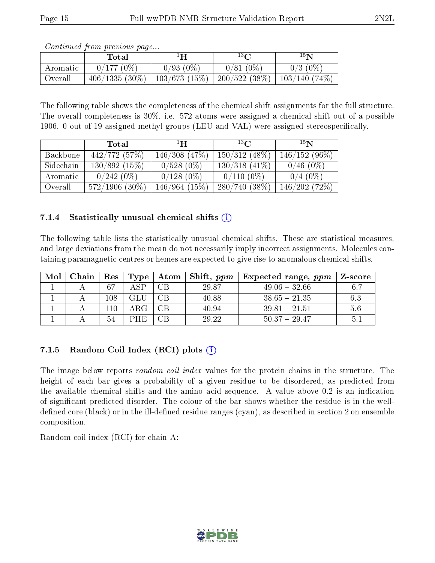|          | Total                                                                      | ŀН          | $13\Omega$  | $15\mathbf{N}$ |
|----------|----------------------------------------------------------------------------|-------------|-------------|----------------|
| Aromatic | $0/177(0\%)$                                                               | $0/93(0\%)$ | $0/81(0\%)$ | $0/3$ (0\%)    |
| Overall  | $406/1335 (30\%)$   $103/673 (15\%)$   $200/522 (38\%)$   $103/140 (74\%)$ |             |             |                |

Continued from previous page...

The following table shows the completeness of the chemical shift assignments for the full structure. The overall completeness is 30%, i.e. 572 atoms were assigned a chemical shift out of a possible 1906. 0 out of 19 assigned methyl groups (LEU and VAL) were assigned stereospecifically.

|           | Total            | ΞH                 | 13 <sub>0</sub>  | $15\mathrm{N}$  |
|-----------|------------------|--------------------|------------------|-----------------|
| Backbone  | 442/772(57%)     | $146/308$ $(47\%)$ | $150/312(48\%)$  | $146/152(96\%)$ |
| Sidechain | 130/892(15%)     | $0/528(0\%)$       | $130/318$ (41\%) | $0/46(0\%)$     |
| Aromatic  | $0/242(0\%)$     | $0/128(0\%)$       | $0/110(0\%)$     | $0/4(0\%)$      |
| Overall   | $572/1906$ (30%) | 146/964(15%)       | $280/740(38\%)$  | 146/202 (72%)   |

## 7.1.4 Statistically unusual chemical shifts  $(i)$

The following table lists the statistically unusual chemical shifts. These are statistical measures, and large deviations from the mean do not necessarily imply incorrect assignments. Molecules containing paramagnetic centres or hemes are expected to give rise to anomalous chemical shifts.

| Mol | Chain | $\operatorname{Res}$ | Type  |    | $\mid$ Atom $\mid$ Shift, $ppm$ | $\pm$ Expected range, $ppm$ | Z-score |
|-----|-------|----------------------|-------|----|---------------------------------|-----------------------------|---------|
|     |       | -67                  | A SP- | CΒ | 29.87                           | $49.06 - 32.66$             | -6.7    |
|     |       | 108                  | GLU   | CΒ | 40.88                           | $38.65 - 21.35$             | 6.3     |
|     |       | l 10                 |       | ΩВ | 40.94                           | $39.81 - 21.51$             | 5.6     |
|     |       | 54                   | PHE   | CВ | 29.22                           | $50.37 - 29.47$             | $-5.$   |

## 7.1.5 Random Coil Index  $(RCI)$  plots  $\hat{I}$

The image below reports *random coil index* values for the protein chains in the structure. The height of each bar gives a probability of a given residue to be disordered, as predicted from the available chemical shifts and the amino acid sequence. A value above 0.2 is an indication of signicant predicted disorder. The colour of the bar shows whether the residue is in the welldefined core (black) or in the ill-defined residue ranges (cyan), as described in section 2 on ensemble composition.

Random coil index (RCI) for chain A: